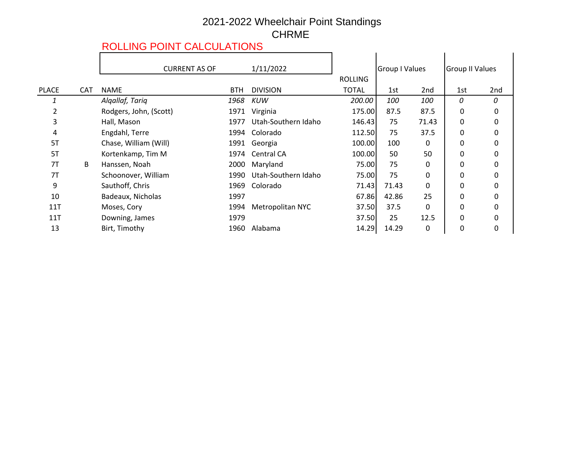## 2021-2022 Wheelchair Point Standings CHRME

## ROLLING POINT CALCULATIONS

|              |            | <b>CURRENT AS OF</b>   | 1/11/2022  |                     |                | <b>Group I Values</b> |                 | <b>Group II Values</b> |     |
|--------------|------------|------------------------|------------|---------------------|----------------|-----------------------|-----------------|------------------------|-----|
|              |            |                        |            |                     | <b>ROLLING</b> |                       |                 |                        |     |
| <b>PLACE</b> | <b>CAT</b> | <b>NAME</b>            | <b>BTH</b> | <b>DIVISION</b>     | <b>TOTAL</b>   | 1st                   | 2 <sub>nd</sub> | 1st                    | 2nd |
| 1            |            | Algallaf, Tariq        | 1968       | <b>KUW</b>          | 200.00         | 100                   | 100             | 0                      | 0   |
| 2            |            | Rodgers, John, (Scott) | 1971       | Virginia            | 175.00         | 87.5                  | 87.5            | 0                      | 0   |
| 3            |            | Hall, Mason            | 1977       | Utah-Southern Idaho | 146.43         | 75                    | 71.43           | 0                      | 0   |
| 4            |            | Engdahl, Terre         | 1994       | Colorado            | 112.50         | 75                    | 37.5            | 0                      | 0   |
| 5T           |            | Chase, William (Will)  | 1991       | Georgia             | 100.00         | 100                   | 0               | 0                      | 0   |
| 5T           |            | Kortenkamp, Tim M      | 1974       | Central CA          | 100.00         | 50                    | 50              | 0                      | 0   |
| 7T           | B          | Hanssen, Noah          | 2000       | Maryland            | 75.00          | 75                    | 0               | 0                      | 0   |
| 7T           |            | Schoonover, William    | 1990       | Utah-Southern Idaho | 75.00          | 75                    | 0               | 0                      | 0   |
| 9            |            | Sauthoff, Chris        | 1969       | Colorado            | 71.43          | 71.43                 | 0               | 0                      | 0   |
| 10           |            | Badeaux, Nicholas      | 1997       |                     | 67.86          | 42.86                 | 25              | 0                      | 0   |
| 11T          |            | Moses, Cory            | 1994       | Metropolitan NYC    | 37.50          | 37.5                  | 0               | 0                      | 0   |
| 11T          |            | Downing, James         | 1979       |                     | 37.50          | 25                    | 12.5            | 0                      | 0   |
| 13           |            | Birt, Timothy          | 1960       | Alabama             | 14.29          | 14.29                 | 0               | 0                      | 0   |